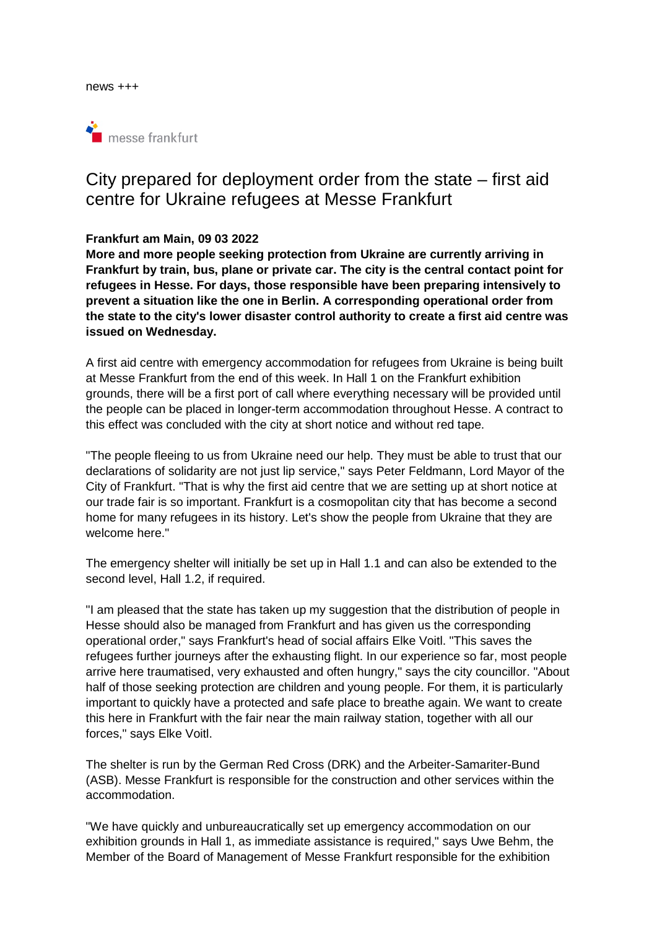

# City prepared for deployment order from the state – first aid centre for Ukraine refugees at Messe Frankfurt

### **Frankfurt am Main, 09 03 2022**

**More and more people seeking protection from Ukraine are currently arriving in Frankfurt by train, bus, plane or private car. The city is the central contact point for refugees in Hesse. For days, those responsible have been preparing intensively to prevent a situation like the one in Berlin. A corresponding operational order from the state to the city's lower disaster control authority to create a first aid centre was issued on Wednesday.** 

A first aid centre with emergency accommodation for refugees from Ukraine is being built at Messe Frankfurt from the end of this week. In Hall 1 on the Frankfurt exhibition grounds, there will be a first port of call where everything necessary will be provided until the people can be placed in longer-term accommodation throughout Hesse. A contract to this effect was concluded with the city at short notice and without red tape.

"The people fleeing to us from Ukraine need our help. They must be able to trust that our declarations of solidarity are not just lip service," says Peter Feldmann, Lord Mayor of the City of Frankfurt. "That is why the first aid centre that we are setting up at short notice at our trade fair is so important. Frankfurt is a cosmopolitan city that has become a second home for many refugees in its history. Let's show the people from Ukraine that they are welcome here."

The emergency shelter will initially be set up in Hall 1.1 and can also be extended to the second level, Hall 1.2, if required.

"I am pleased that the state has taken up my suggestion that the distribution of people in Hesse should also be managed from Frankfurt and has given us the corresponding operational order," says Frankfurt's head of social affairs Elke Voitl. "This saves the refugees further journeys after the exhausting flight. In our experience so far, most people arrive here traumatised, very exhausted and often hungry," says the city councillor. "About half of those seeking protection are children and young people. For them, it is particularly important to quickly have a protected and safe place to breathe again. We want to create this here in Frankfurt with the fair near the main railway station, together with all our forces," says Elke Voitl.

The shelter is run by the German Red Cross (DRK) and the Arbeiter-Samariter-Bund (ASB). Messe Frankfurt is responsible for the construction and other services within the accommodation.

"We have quickly and unbureaucratically set up emergency accommodation on our exhibition grounds in Hall 1, as immediate assistance is required," says Uwe Behm, the Member of the Board of Management of Messe Frankfurt responsible for the exhibition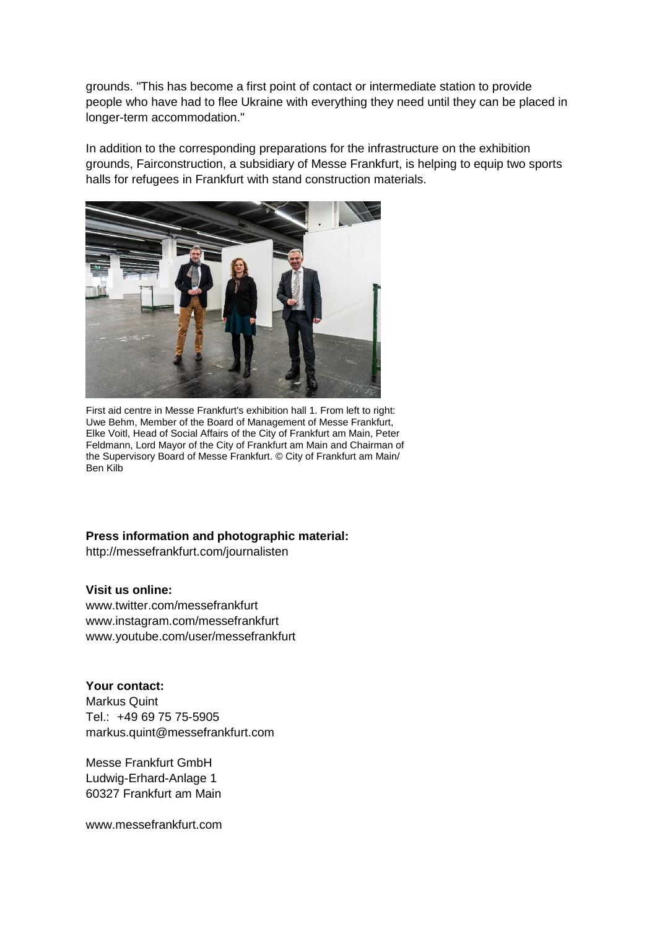grounds. "This has become a first point of contact or intermediate station to provide people who have had to flee Ukraine with everything they need until they can be placed in longer-term accommodation."

In addition to the corresponding preparations for the infrastructure on the exhibition grounds, Fairconstruction, a subsidiary of Messe Frankfurt, is helping to equip two sports halls for refugees in Frankfurt with stand construction materials.



First aid centre in Messe Frankfurt's exhibition hall 1. From left to right: Uwe Behm, Member of the Board of Management of Messe Frankfurt, Elke Voitl, Head of Social Affairs of the City of Frankfurt am Main, Peter Feldmann, Lord Mayor of the City of Frankfurt am Main and Chairman of the Supervisory Board of Messe Frankfurt. © City of Frankfurt am Main/ Ben Kilb

# **Press information and photographic material:**

http://messefrankfurt.com/journalisten

## **Visit us online:**

www.twitter.com/messefrankfurt www.instagram.com/messefrankfurt www.youtube.com/user/messefrankfurt

**Your contact:**  Markus Quint Tel.: +49 69 75 75-5905 markus.quint@messefrankfurt.com

Messe Frankfurt GmbH Ludwig-Erhard-Anlage 1 60327 Frankfurt am Main

www.messefrankfurt.com